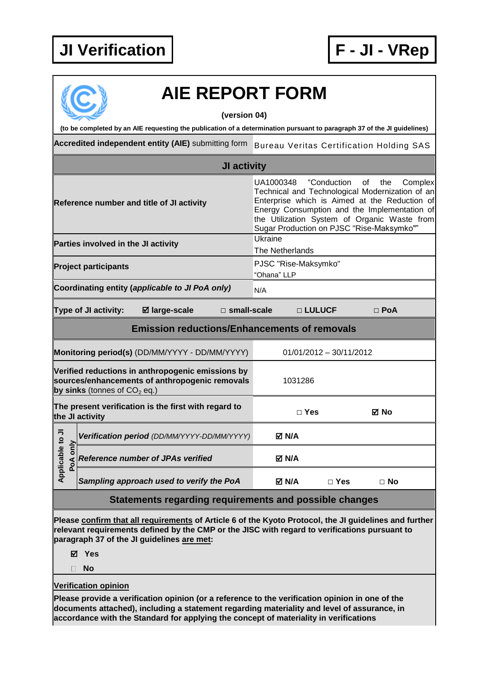

## **AIE REPORT FORM (version 04) (to be completed by an AIE requesting the publication of a determination pursuant to paragraph 37 of the JI guidelines) Accredited independent entity (AIE)** submitting form Bureau Veritas Certification Holding SAS **JI activity** UA1000348 "Conduction of the Complex Technical and Technological Modernization of an Enterprise which is Aimed at the Reduction of **Reference number and title of JI activity** Energy Consumption and the Implementation of the Utilization System of Organic Waste from Sugar Production on PJSC "Rise-Maksymko"" **Parties involved in the JI activity Example 20** Ukraine The Netherlands **Project participants PJSC "Rise-Maksymko"** "Ohana" LLP **Coordinating entity (applicable to JI PoA only)** N/A **Type of JI activity: large-scale □ small-scale □ LULUCF □ PoA Emission reductions/Enhancements of removals Monitoring period(s)** (DD/MM/YYYY - DD/MM/YYYY) 01/01/2012 – 30/11/2012 **Verified reductions in anthropogenic emissions by sources/enhancements of anthropogenic removals**  1031286 **by sinks** (tonnes of  $CO<sub>2</sub>$  eq.) **The present verification is the first with regard to the JI activity □ Yes No** Applicable to JI **Applicable to JI Positivation period** *(DD/MM/YYYY-DD/MM/YYYY)* **M/A**<br> **Poperiod Reference number of JPAs verified N/A**<br> **N/A Reference number of JPAs verified** *Sampling approach used to verify the PoA* **N/A □ Yes □ No Statements regarding requirements and possible changes Please confirm that all requirements of Article 6 of the Kyoto Protocol, the JI guidelines and further relevant requirements defined by the CMP or the JISC with regard to verifications pursuant to**

**paragraph 37 of the JI guidelines are met:**

**Yes**

**No**

## **Verification opinion**

**Please provide a verification opinion (or a reference to the verification opinion in one of the documents attached), including a statement regarding materiality and level of assurance, in accordance with the Standard for applying the concept of materiality in verifications**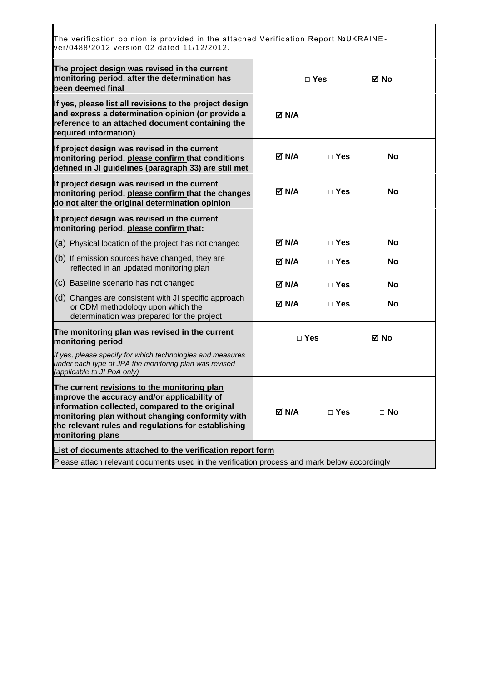The verification opinion is provided in the attached Verification Report №UKRAINE ver/0488/2012 version 02 dated 11/12/2012.

| The project design was revised in the current<br>monitoring period, after the determination has<br>been deemed final                                                                                                                                                           | $\Box$ Yes         |              | ⊠ No      |  |
|--------------------------------------------------------------------------------------------------------------------------------------------------------------------------------------------------------------------------------------------------------------------------------|--------------------|--------------|-----------|--|
| If yes, please list all revisions to the project design<br>and express a determination opinion (or provide a<br>reference to an attached document containing the<br>required information)                                                                                      | <b>⊠ N/A</b>       |              |           |  |
| If project design was revised in the current<br>monitoring period, please confirm that conditions<br>defined in JI guidelines (paragraph 33) are still met                                                                                                                     | M N/A⊡             | $\Box$ Yes   | $\Box$ No |  |
| If project design was revised in the current<br>monitoring period, please confirm that the changes<br>do not alter the original determination opinion                                                                                                                          | <b>⊠ N/A</b>       | $\Box$ Yes   | $\Box$ No |  |
| If project design was revised in the current<br>monitoring period, please confirm that:                                                                                                                                                                                        |                    |              |           |  |
| (a) Physical location of the project has not changed                                                                                                                                                                                                                           | M ND               | $\Box$ Yes   | $\Box$ No |  |
| (b) If emission sources have changed, they are<br>reflected in an updated monitoring plan                                                                                                                                                                                      | M N/A⊡             | $\Box$ Yes   | $\Box$ No |  |
| (c) Baseline scenario has not changed                                                                                                                                                                                                                                          | M N/A⊡             | $\Box$ Yes   | $\Box$ No |  |
| (d) Changes are consistent with JI specific approach<br>or CDM methodology upon which the<br>determination was prepared for the project                                                                                                                                        | M N/A⊡             | $\Box$ Yes   | $\Box$ No |  |
| The monitoring plan was revised in the current<br>monitoring period                                                                                                                                                                                                            | $\Box$ Yes<br>⊠ No |              |           |  |
| If yes, please specify for which technologies and measures<br>under each type of JPA the monitoring plan was revised<br>(applicable to JI PoA only)                                                                                                                            |                    |              |           |  |
| The current revisions to the monitoring plan<br>improve the accuracy and/or applicability of<br>information collected, compared to the original<br>monitoring plan without changing conformity with<br>the relevant rules and regulations for establishing<br>monitoring plans | M N/A              | $\sqcap$ Yes | $\Box$ No |  |
| List of documents attached to the verification report form                                                                                                                                                                                                                     |                    |              |           |  |
| Please attach relevant documents used in the verification process and mark below accordingly                                                                                                                                                                                   |                    |              |           |  |